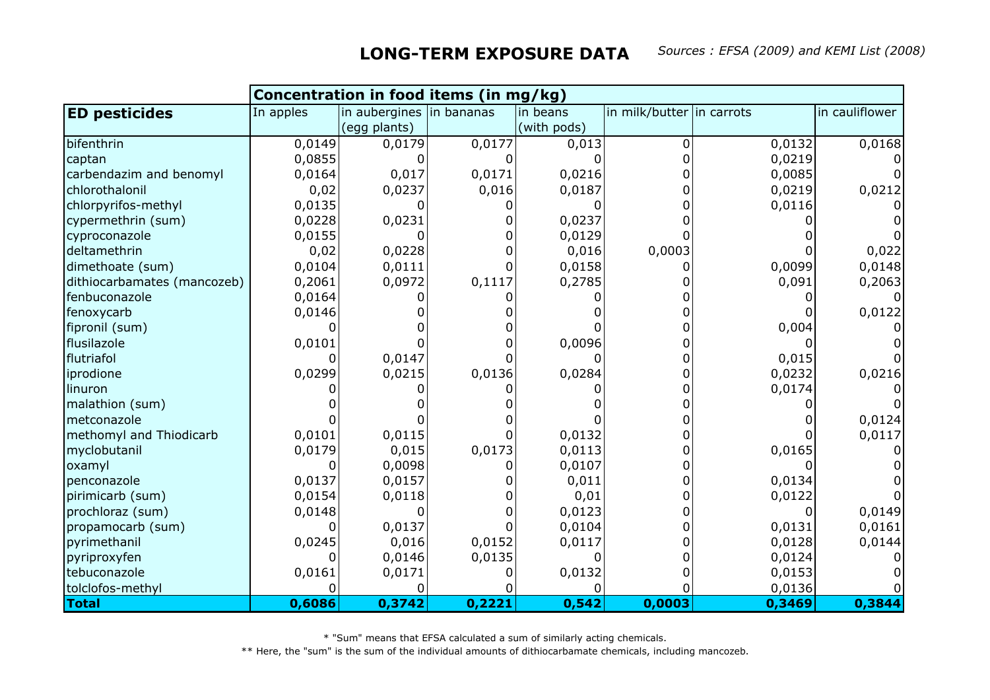|                             | Concentration in food items (in mg/kg) |                          |        |             |                           |        |                |  |
|-----------------------------|----------------------------------------|--------------------------|--------|-------------|---------------------------|--------|----------------|--|
| <b>ED pesticides</b>        | In apples                              | in aubergines in bananas |        | in beans    | in milk/butter in carrots |        | in cauliflower |  |
|                             |                                        | (egg plants)             |        | (with pods) |                           |        |                |  |
| bifenthrin                  | 0,0149                                 | 0,0179                   | 0,0177 | 0,013       | 0                         | 0,0132 | 0,0168         |  |
| captan                      | 0,0855                                 |                          |        |             | O                         | 0,0219 |                |  |
| carbendazim and benomyl     | 0,0164                                 | 0,017                    | 0,0171 | 0,0216      |                           | 0,0085 |                |  |
| chlorothalonil              | 0,02                                   | 0,0237                   | 0,016  | 0,0187      |                           | 0,0219 | 0,0212         |  |
| chlorpyrifos-methyl         | 0,0135                                 |                          |        |             |                           | 0,0116 |                |  |
| cypermethrin (sum)          | 0,0228                                 | 0,0231                   |        | 0,0237      |                           |        |                |  |
| cyproconazole               | 0,0155                                 |                          |        | 0,0129      |                           |        |                |  |
| deltamethrin                | 0,02                                   | 0,0228                   |        | 0,016       | 0,0003                    |        | 0,022          |  |
| dimethoate (sum)            | 0,0104                                 | 0,0111                   |        | 0,0158      |                           | 0,0099 | 0,0148         |  |
| dithiocarbamates (mancozeb) | 0,2061                                 | 0,0972                   | 0,1117 | 0,2785      |                           | 0,091  | 0,2063         |  |
| fenbuconazole               | 0,0164                                 |                          |        |             |                           |        |                |  |
| fenoxycarb                  | 0,0146                                 |                          |        |             |                           |        | 0,0122         |  |
| fipronil (sum)              |                                        |                          |        |             |                           | 0,004  |                |  |
| flusilazole                 | 0,0101                                 |                          |        | 0,0096      |                           |        |                |  |
| flutriafol                  |                                        | 0,0147                   |        |             |                           | 0,015  |                |  |
| iprodione                   | 0,0299                                 | 0,0215                   | 0,0136 | 0,0284      |                           | 0,0232 | 0,0216         |  |
| linuron                     |                                        |                          |        |             |                           | 0,0174 |                |  |
| malathion (sum)             |                                        |                          |        |             |                           |        |                |  |
| Imetconazole                |                                        |                          |        |             |                           |        | 0,0124         |  |
| methomyl and Thiodicarb     | 0,0101                                 | 0,0115                   |        | 0,0132      |                           |        | 0,0117         |  |
| myclobutanil                | 0,0179                                 | 0,015                    | 0,0173 | 0,0113      |                           | 0,0165 |                |  |
| oxamyl                      |                                        | 0,0098                   |        | 0,0107      |                           |        |                |  |
| penconazole                 | 0,0137                                 | 0,0157                   |        | 0,011       |                           | 0,0134 |                |  |
| pirimicarb (sum)            | 0,0154                                 | 0,0118                   |        | 0,01        |                           | 0,0122 |                |  |
| prochloraz (sum)            | 0,0148                                 |                          |        | 0,0123      |                           |        | 0,0149         |  |
| propamocarb (sum)           |                                        | 0,0137                   |        | 0,0104      |                           | 0,0131 | 0,0161         |  |
| pyrimethanil                | 0,0245                                 | 0,016                    | 0,0152 | 0,0117      |                           | 0,0128 | 0,0144         |  |
| pyriproxyfen                |                                        | 0,0146                   | 0,0135 |             |                           | 0,0124 |                |  |
| tebuconazole                | 0,0161                                 | 0,0171                   |        | 0,0132      |                           | 0,0153 |                |  |
| tolclofos-methyl            |                                        |                          |        |             |                           | 0,0136 |                |  |
| <b>Total</b>                | 0,6086                                 | 0,3742                   | 0,2221 | 0,542       | 0,0003                    | 0,3469 | 0,3844         |  |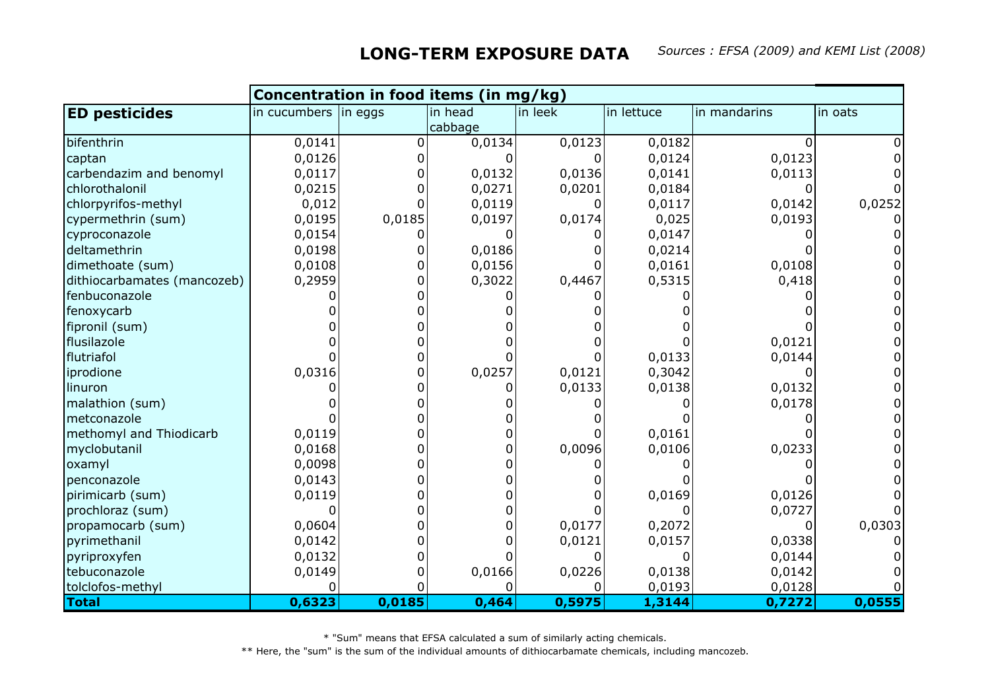|                             | Concentration in food items (in mg/kg) |        |         |         |            |              |         |  |
|-----------------------------|----------------------------------------|--------|---------|---------|------------|--------------|---------|--|
| <b>ED pesticides</b>        | in cucumbers  in eggs                  |        | in head | in leek | in lettuce | in mandarins | in oats |  |
|                             |                                        |        | cabbage |         |            |              |         |  |
| bifenthrin                  | 0,0141                                 | ∩      | 0,0134  | 0,0123  | 0,0182     |              |         |  |
| captan                      | 0,0126                                 |        |         |         | 0,0124     | 0,0123       |         |  |
| carbendazim and benomyl     | 0,0117                                 |        | 0,0132  | 0,0136  | 0,0141     | 0,0113       |         |  |
| chlorothalonil              | 0,0215                                 |        | 0,0271  | 0,0201  | 0,0184     |              |         |  |
| chlorpyrifos-methyl         | 0,012                                  |        | 0,0119  | O       | 0,0117     | 0,0142       | 0,0252  |  |
| cypermethrin (sum)          | 0,0195                                 | 0,0185 | 0,0197  | 0,0174  | 0,025      | 0,0193       |         |  |
| cyproconazole               | 0,0154                                 |        |         |         | 0,0147     |              |         |  |
| deltamethrin                | 0,0198                                 |        | 0,0186  |         | 0,0214     |              |         |  |
| dimethoate (sum)            | 0,0108                                 |        | 0,0156  |         | 0,0161     | 0,0108       |         |  |
| dithiocarbamates (mancozeb) | 0,2959                                 |        | 0,3022  | 0,4467  | 0,5315     | 0,418        |         |  |
| fenbuconazole               |                                        |        |         |         |            |              |         |  |
| fenoxycarb                  |                                        |        |         |         |            |              |         |  |
| fipronil (sum)              |                                        |        |         |         |            |              |         |  |
| flusilazole                 |                                        |        |         |         |            | 0,0121       |         |  |
| flutriafol                  |                                        |        |         |         | 0,0133     | 0,0144       |         |  |
| iprodione                   | 0,0316                                 |        | 0,0257  | 0,0121  | 0,3042     |              |         |  |
| linuron                     |                                        |        |         | 0,0133  | 0,0138     | 0,0132       |         |  |
| malathion (sum)             |                                        |        |         |         |            | 0,0178       |         |  |
| metconazole                 |                                        |        |         |         |            |              |         |  |
| methomyl and Thiodicarb     | 0,0119                                 |        |         |         | 0,0161     |              |         |  |
| myclobutanil                | 0,0168                                 |        |         | 0,0096  | 0,0106     | 0,0233       |         |  |
| oxamyl                      | 0,0098                                 |        |         |         |            |              |         |  |
| penconazole                 | 0,0143                                 |        |         |         |            |              |         |  |
| pirimicarb (sum)            | 0,0119                                 |        |         |         | 0,0169     | 0,0126       |         |  |
| prochloraz (sum)            |                                        |        |         |         |            | 0,0727       |         |  |
| propamocarb (sum)           | 0,0604                                 |        |         | 0,0177  | 0,2072     |              | 0,0303  |  |
| pyrimethanil                | 0,0142                                 |        |         | 0,0121  | 0,0157     | 0,0338       |         |  |
| pyriproxyfen                | 0,0132                                 |        |         |         |            | 0,0144       |         |  |
| tebuconazole                | 0,0149                                 |        | 0,0166  | 0,0226  | 0,0138     | 0,0142       |         |  |
| tolclofos-methyl            |                                        |        |         |         | 0,0193     | 0,0128       |         |  |
| <b>Total</b>                | 0,6323                                 | 0,0185 | 0,464   | 0,5975  | 1,3144     | 0,7272       | 0,0555  |  |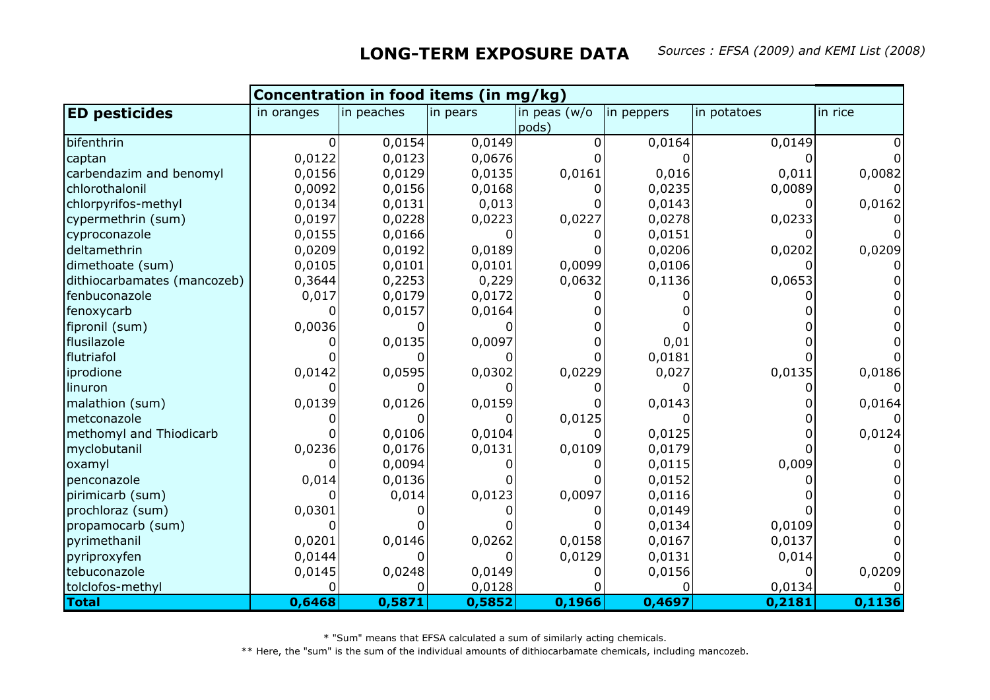|                             | Concentration in food items (in mg/kg) |            |          |              |            |             |         |  |
|-----------------------------|----------------------------------------|------------|----------|--------------|------------|-------------|---------|--|
| <b>ED pesticides</b>        | in oranges                             | in peaches | in pears | in peas (w/o | in peppers | in potatoes | in rice |  |
|                             |                                        |            |          | pods)        |            |             |         |  |
| bifenthrin                  |                                        | 0,0154     | 0,0149   |              | 0,0164     | 0,0149      |         |  |
| captan                      | 0,0122                                 | 0,0123     | 0,0676   |              |            |             |         |  |
| carbendazim and benomyl     | 0,0156                                 | 0,0129     | 0,0135   | 0,0161       | 0,016      | 0,011       | 0,0082  |  |
| chlorothalonil              | 0,0092                                 | 0,0156     | 0,0168   |              | 0,0235     | 0,0089      |         |  |
| chlorpyrifos-methyl         | 0,0134                                 | 0,0131     | 0,013    |              | 0,0143     |             | 0,0162  |  |
| cypermethrin (sum)          | 0,0197                                 | 0,0228     | 0,0223   | 0,0227       | 0,0278     | 0,0233      |         |  |
| cyproconazole               | 0,0155                                 | 0,0166     |          |              | 0,0151     |             |         |  |
| deltamethrin                | 0,0209                                 | 0,0192     | 0,0189   |              | 0,0206     | 0,0202      | 0,0209  |  |
| dimethoate (sum)            | 0,0105                                 | 0,0101     | 0,0101   | 0,0099       | 0,0106     |             |         |  |
| dithiocarbamates (mancozeb) | 0,3644                                 | 0,2253     | 0,229    | 0,0632       | 0,1136     | 0,0653      |         |  |
| fenbuconazole               | 0,017                                  | 0,0179     | 0,0172   |              |            |             |         |  |
| fenoxycarb                  |                                        | 0,0157     | 0,0164   |              |            |             |         |  |
| fipronil (sum)              | 0,0036                                 |            |          |              |            |             |         |  |
| flusilazole                 |                                        | 0,0135     | 0,0097   |              | 0,01       |             |         |  |
| flutriafol                  |                                        |            |          |              | 0,0181     |             |         |  |
| iprodione                   | 0,0142                                 | 0,0595     | 0,0302   | 0,0229       | 0,027      | 0,0135      | 0,0186  |  |
| linuron                     |                                        |            |          |              |            |             |         |  |
| malathion (sum)             | 0,0139                                 | 0,0126     | 0,0159   |              | 0,0143     |             | 0,0164  |  |
| metconazole                 |                                        |            |          | 0,0125       |            |             |         |  |
| methomyl and Thiodicarb     |                                        | 0,0106     | 0,0104   |              | 0,0125     |             | 0,0124  |  |
| myclobutanil                | 0,0236                                 | 0,0176     | 0,0131   | 0,0109       | 0,0179     |             |         |  |
| oxamyl                      |                                        | 0,0094     |          |              | 0,0115     | 0,009       |         |  |
| penconazole                 | 0,014                                  | 0,0136     |          |              | 0,0152     |             |         |  |
| pirimicarb (sum)            |                                        | 0,014      | 0,0123   | 0,0097       | 0,0116     |             |         |  |
| prochloraz (sum)            | 0,0301                                 |            |          |              | 0,0149     |             |         |  |
| propamocarb (sum)           |                                        |            |          |              | 0,0134     | 0,0109      |         |  |
| pyrimethanil                | 0,0201                                 | 0,0146     | 0,0262   | 0,0158       | 0,0167     | 0,0137      |         |  |
| pyriproxyfen                | 0,0144                                 |            |          | 0,0129       | 0,0131     | 0,014       |         |  |
| tebuconazole                | 0,0145                                 | 0,0248     | 0,0149   |              | 0,0156     |             | 0,0209  |  |
| tolclofos-methyl            |                                        |            | 0,0128   |              |            | 0,0134      |         |  |
| <b>Total</b>                | 0,6468                                 | 0,5871     | 0,5852   | 0,1966       | 0,4697     | 0,2181      | 0,1136  |  |